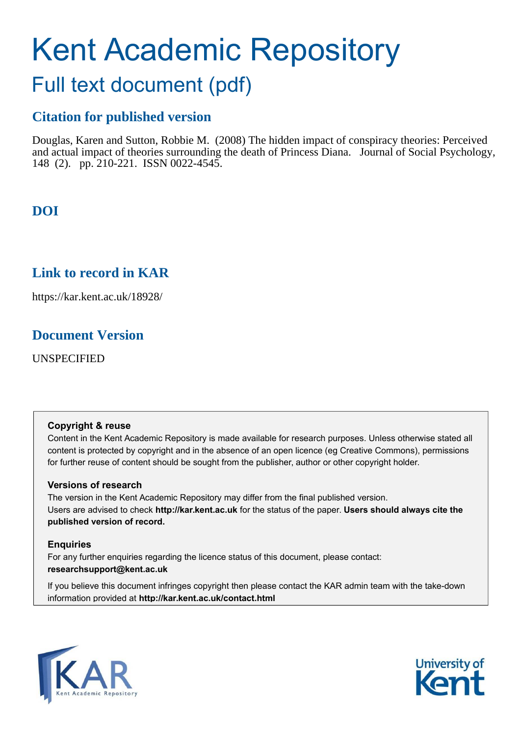# Kent Academic Repository

## Full text document (pdf)

## **Citation for published version**

Douglas, Karen and Sutton, Robbie M. (2008) The hidden impact of conspiracy theories: Perceived and actual impact of theories surrounding the death of Princess Diana. Journal of Social Psychology, 148 (2). pp. 210-221. ISSN 0022-4545.

## **DOI**

## **Link to record in KAR**

https://kar.kent.ac.uk/18928/

## **Document Version**

UNSPECIFIED

#### **Copyright & reuse**

Content in the Kent Academic Repository is made available for research purposes. Unless otherwise stated all content is protected by copyright and in the absence of an open licence (eg Creative Commons), permissions for further reuse of content should be sought from the publisher, author or other copyright holder.

#### **Versions of research**

The version in the Kent Academic Repository may differ from the final published version. Users are advised to check **http://kar.kent.ac.uk** for the status of the paper. **Users should always cite the published version of record.**

#### **Enquiries**

For any further enquiries regarding the licence status of this document, please contact: **researchsupport@kent.ac.uk**

If you believe this document infringes copyright then please contact the KAR admin team with the take-down information provided at **http://kar.kent.ac.uk/contact.html**



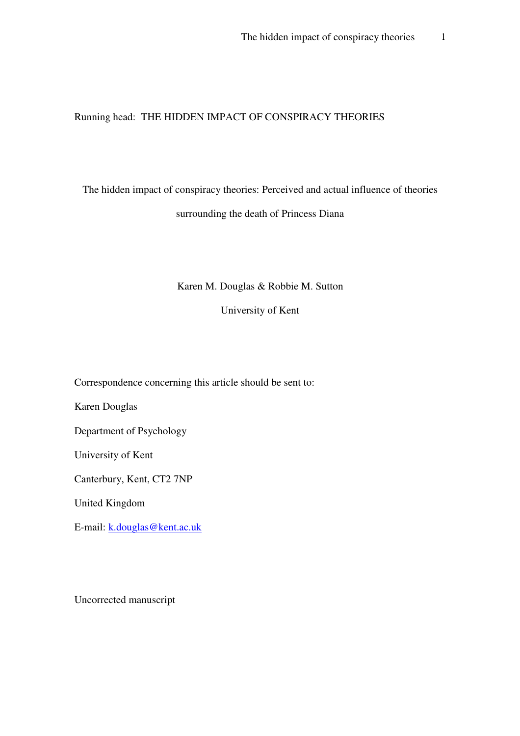#### Running head: THE HIDDEN IMPACT OF CONSPIRACY THEORIES

## The hidden impact of conspiracy theories: Perceived and actual influence of theories surrounding the death of Princess Diana

#### Karen M. Douglas & Robbie M. Sutton

University of Kent

Correspondence concerning this article should be sent to:

Karen Douglas

Department of Psychology

University of Kent

Canterbury, Kent, CT2 7NP

United Kingdom

E-mail: k.douglas@kent.ac.uk

Uncorrected manuscript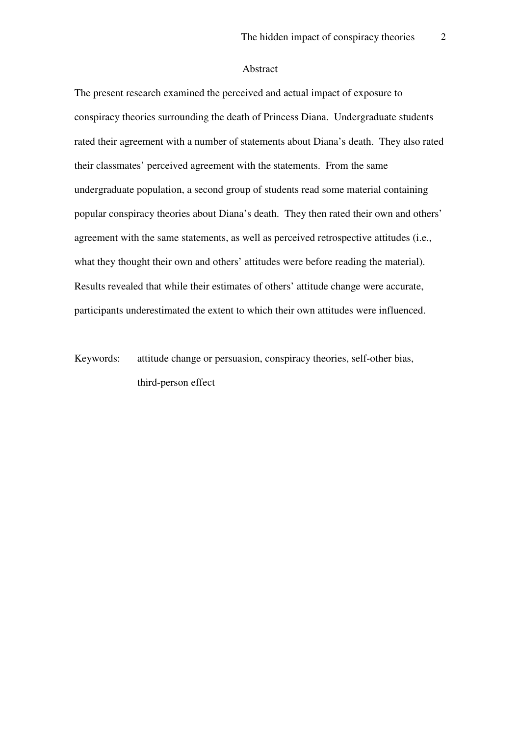#### Abstract

The present research examined the perceived and actual impact of exposure to conspiracy theories surrounding the death of Princess Diana. Undergraduate students rated their agreement with a number of statements about Diana's death. They also rated their classmates' perceived agreement with the statements. From the same undergraduate population, a second group of students read some material containing popular conspiracy theories about Diana's death. They then rated their own and others' agreement with the same statements, as well as perceived retrospective attitudes (i.e., what they thought their own and others' attitudes were before reading the material). Results revealed that while their estimates of others' attitude change were accurate, participants underestimated the extent to which their own attitudes were influenced.

Keywords: attitude change or persuasion, conspiracy theories, self-other bias, third-person effect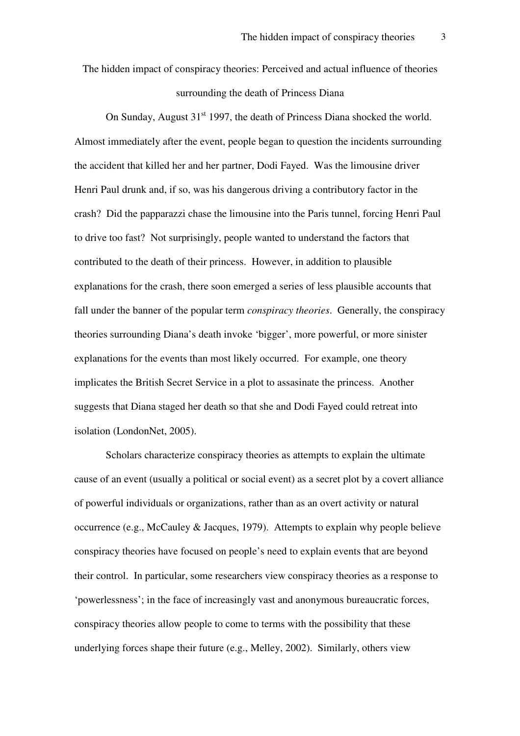The hidden impact of conspiracy theories: Perceived and actual influence of theories surrounding the death of Princess Diana

On Sunday, August  $31<sup>st</sup>$  1997, the death of Princess Diana shocked the world. Almost immediately after the event, people began to question the incidents surrounding the accident that killed her and her partner, Dodi Fayed. Was the limousine driver Henri Paul drunk and, if so, was his dangerous driving a contributory factor in the crash? Did the papparazzi chase the limousine into the Paris tunnel, forcing Henri Paul to drive too fast? Not surprisingly, people wanted to understand the factors that contributed to the death of their princess. However, in addition to plausible explanations for the crash, there soon emerged a series of less plausible accounts that fall under the banner of the popular term *conspiracy theories*. Generally, the conspiracy theories surrounding Diana's death invoke 'bigger', more powerful, or more sinister explanations for the events than most likely occurred. For example, one theory implicates the British Secret Service in a plot to assasinate the princess. Another suggests that Diana staged her death so that she and Dodi Fayed could retreat into isolation (LondonNet, 2005).

Scholars characterize conspiracy theories as attempts to explain the ultimate cause of an event (usually a political or social event) as a secret plot by a covert alliance of powerful individuals or organizations, rather than as an overt activity or natural occurrence (e.g., McCauley & Jacques, 1979). Attempts to explain why people believe conspiracy theories have focused on people's need to explain events that are beyond their control. In particular, some researchers view conspiracy theories as a response to 'powerlessness'; in the face of increasingly vast and anonymous bureaucratic forces, conspiracy theories allow people to come to terms with the possibility that these underlying forces shape their future (e.g., Melley, 2002). Similarly, others view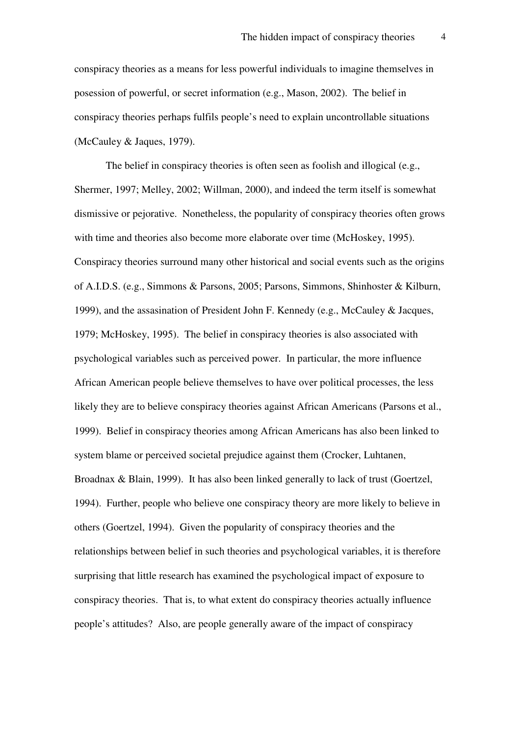conspiracy theories as a means for less powerful individuals to imagine themselves in posession of powerful, or secret information (e.g., Mason, 2002). The belief in conspiracy theories perhaps fulfils people's need to explain uncontrollable situations (McCauley & Jaques, 1979).

The belief in conspiracy theories is often seen as foolish and illogical (e.g., Shermer, 1997; Melley, 2002; Willman, 2000), and indeed the term itself is somewhat dismissive or pejorative. Nonetheless, the popularity of conspiracy theories often grows with time and theories also become more elaborate over time (McHoskey, 1995). Conspiracy theories surround many other historical and social events such as the origins of A.I.D.S. (e.g., Simmons & Parsons, 2005; Parsons, Simmons, Shinhoster & Kilburn, 1999), and the assasination of President John F. Kennedy (e.g., McCauley & Jacques, 1979; McHoskey, 1995). The belief in conspiracy theories is also associated with psychological variables such as perceived power. In particular, the more influence African American people believe themselves to have over political processes, the less likely they are to believe conspiracy theories against African Americans (Parsons et al., 1999). Belief in conspiracy theories among African Americans has also been linked to system blame or perceived societal prejudice against them (Crocker, Luhtanen, Broadnax & Blain, 1999). It has also been linked generally to lack of trust (Goertzel, 1994). Further, people who believe one conspiracy theory are more likely to believe in others (Goertzel, 1994). Given the popularity of conspiracy theories and the relationships between belief in such theories and psychological variables, it is therefore surprising that little research has examined the psychological impact of exposure to conspiracy theories. That is, to what extent do conspiracy theories actually influence people's attitudes? Also, are people generally aware of the impact of conspiracy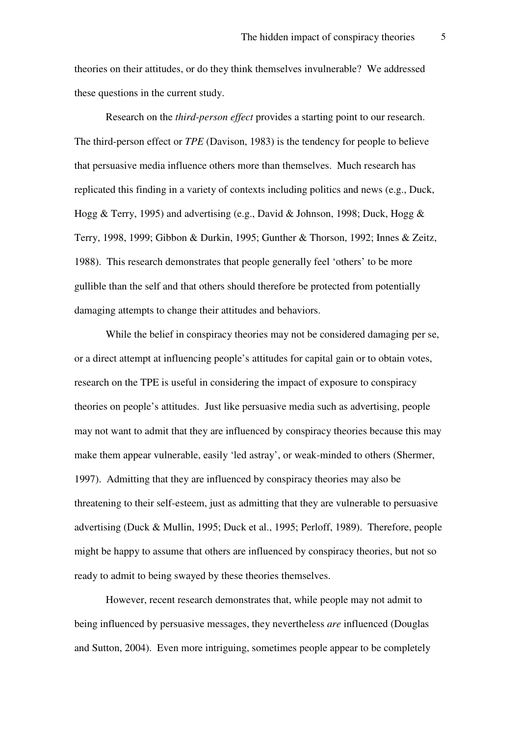theories on their attitudes, or do they think themselves invulnerable? We addressed these questions in the current study.

Research on the *third-person effect* provides a starting point to our research. The third-person effect or *TPE* (Davison, 1983) is the tendency for people to believe that persuasive media influence others more than themselves. Much research has replicated this finding in a variety of contexts including politics and news (e.g., Duck, Hogg & Terry, 1995) and advertising (e.g., David & Johnson, 1998; Duck, Hogg & Terry, 1998, 1999; Gibbon & Durkin, 1995; Gunther & Thorson, 1992; Innes & Zeitz, 1988). This research demonstrates that people generally feel 'others' to be more gullible than the self and that others should therefore be protected from potentially damaging attempts to change their attitudes and behaviors.

While the belief in conspiracy theories may not be considered damaging per se, or a direct attempt at influencing people's attitudes for capital gain or to obtain votes, research on the TPE is useful in considering the impact of exposure to conspiracy theories on people's attitudes. Just like persuasive media such as advertising, people may not want to admit that they are influenced by conspiracy theories because this may make them appear vulnerable, easily 'led astray', or weak-minded to others (Shermer, 1997). Admitting that they are influenced by conspiracy theories may also be threatening to their self-esteem, just as admitting that they are vulnerable to persuasive advertising (Duck & Mullin, 1995; Duck et al., 1995; Perloff, 1989). Therefore, people might be happy to assume that others are influenced by conspiracy theories, but not so ready to admit to being swayed by these theories themselves.

However, recent research demonstrates that, while people may not admit to being influenced by persuasive messages, they nevertheless *are* influenced (Douglas and Sutton, 2004). Even more intriguing, sometimes people appear to be completely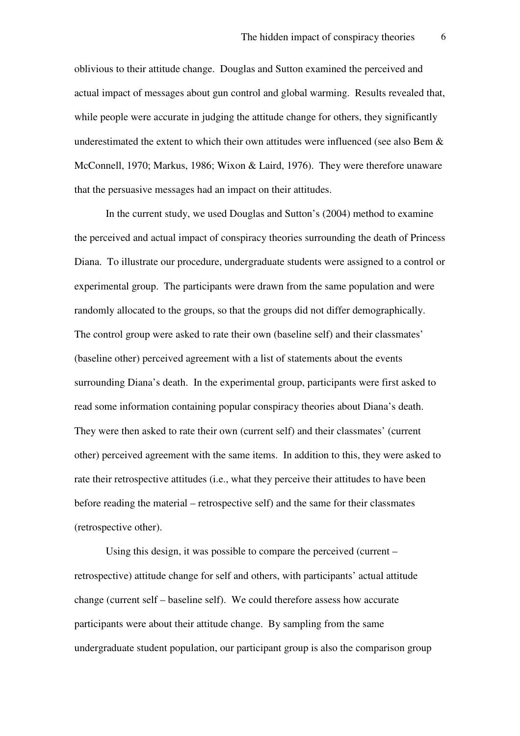oblivious to their attitude change. Douglas and Sutton examined the perceived and actual impact of messages about gun control and global warming. Results revealed that, while people were accurate in judging the attitude change for others, they significantly underestimated the extent to which their own attitudes were influenced (see also Bem  $\&$ McConnell, 1970; Markus, 1986; Wixon & Laird, 1976). They were therefore unaware that the persuasive messages had an impact on their attitudes.

In the current study, we used Douglas and Sutton's (2004) method to examine the perceived and actual impact of conspiracy theories surrounding the death of Princess Diana. To illustrate our procedure, undergraduate students were assigned to a control or experimental group. The participants were drawn from the same population and were randomly allocated to the groups, so that the groups did not differ demographically. The control group were asked to rate their own (baseline self) and their classmates' (baseline other) perceived agreement with a list of statements about the events surrounding Diana's death. In the experimental group, participants were first asked to read some information containing popular conspiracy theories about Diana's death. They were then asked to rate their own (current self) and their classmates' (current other) perceived agreement with the same items. In addition to this, they were asked to rate their retrospective attitudes (i.e., what they perceive their attitudes to have been before reading the material – retrospective self) and the same for their classmates (retrospective other).

Using this design, it was possible to compare the perceived (current – retrospective) attitude change for self and others, with participants' actual attitude change (current self – baseline self). We could therefore assess how accurate participants were about their attitude change. By sampling from the same undergraduate student population, our participant group is also the comparison group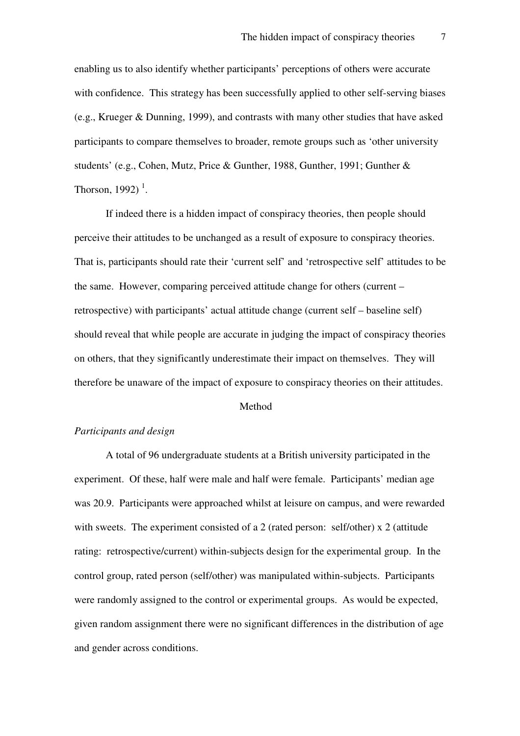enabling us to also identify whether participants' perceptions of others were accurate with confidence. This strategy has been successfully applied to other self-serving biases (e.g., Krueger & Dunning, 1999), and contrasts with many other studies that have asked participants to compare themselves to broader, remote groups such as 'other university students' (e.g., Cohen, Mutz, Price & Gunther, 1988, Gunther, 1991; Gunther & Thorson, 1992) $<sup>1</sup>$ .</sup>

If indeed there is a hidden impact of conspiracy theories, then people should perceive their attitudes to be unchanged as a result of exposure to conspiracy theories. That is, participants should rate their 'current self' and 'retrospective self' attitudes to be the same. However, comparing perceived attitude change for others (current – retrospective) with participants' actual attitude change (current self – baseline self) should reveal that while people are accurate in judging the impact of conspiracy theories on others, that they significantly underestimate their impact on themselves. They will therefore be unaware of the impact of exposure to conspiracy theories on their attitudes.

#### Method

#### *Participants and design*

 A total of 96 undergraduate students at a British university participated in the experiment. Of these, half were male and half were female. Participants' median age was 20.9. Participants were approached whilst at leisure on campus, and were rewarded with sweets. The experiment consisted of a 2 (rated person: self/other) x 2 (attitude rating: retrospective/current) within-subjects design for the experimental group. In the control group, rated person (self/other) was manipulated within-subjects. Participants were randomly assigned to the control or experimental groups. As would be expected, given random assignment there were no significant differences in the distribution of age and gender across conditions.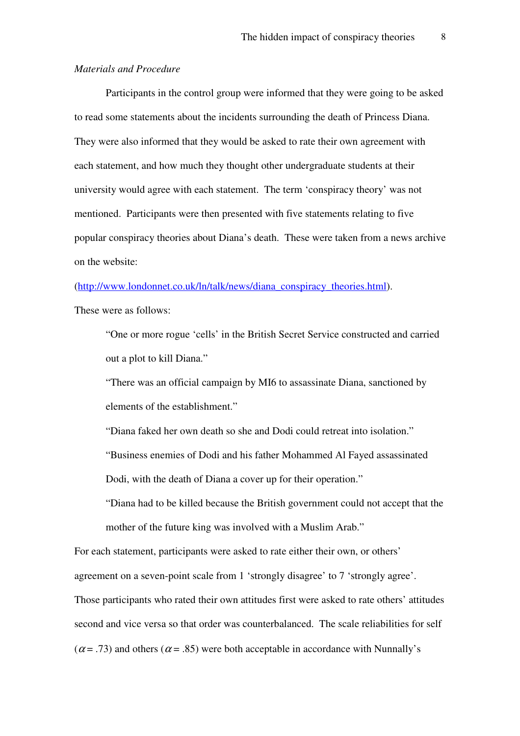#### *Materials and Procedure*

 Participants in the control group were informed that they were going to be asked to read some statements about the incidents surrounding the death of Princess Diana. They were also informed that they would be asked to rate their own agreement with each statement, and how much they thought other undergraduate students at their university would agree with each statement. The term 'conspiracy theory' was not mentioned. Participants were then presented with five statements relating to five popular conspiracy theories about Diana's death. These were taken from a news archive on the website:

(http://www.londonnet.co.uk/ln/talk/news/diana\_conspiracy\_theories.html).

These were as follows:

"One or more rogue 'cells' in the British Secret Service constructed and carried out a plot to kill Diana."

"There was an official campaign by MI6 to assassinate Diana, sanctioned by elements of the establishment."

"Diana faked her own death so she and Dodi could retreat into isolation."

"Business enemies of Dodi and his father Mohammed Al Fayed assassinated Dodi, with the death of Diana a cover up for their operation."

"Diana had to be killed because the British government could not accept that the mother of the future king was involved with a Muslim Arab."

For each statement, participants were asked to rate either their own, or others' agreement on a seven-point scale from 1 'strongly disagree' to 7 'strongly agree'. Those participants who rated their own attitudes first were asked to rate others' attitudes second and vice versa so that order was counterbalanced. The scale reliabilities for self ( $\alpha$  = .73) and others ( $\alpha$  = .85) were both acceptable in accordance with Nunnally's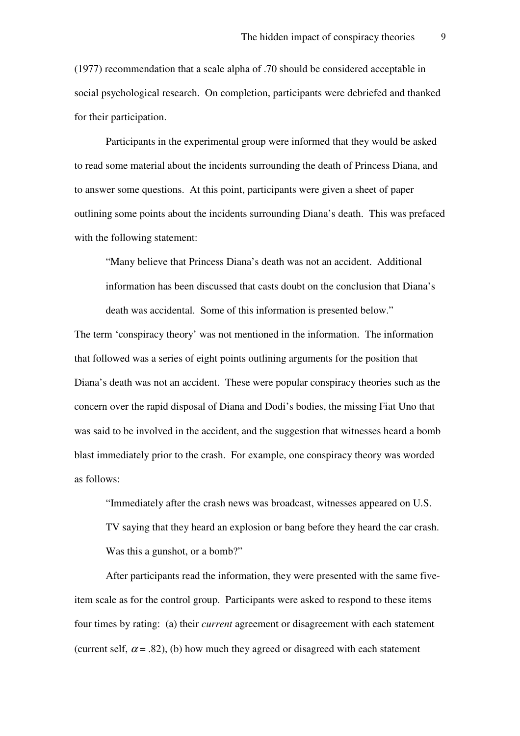(1977) recommendation that a scale alpha of .70 should be considered acceptable in social psychological research. On completion, participants were debriefed and thanked for their participation.

 Participants in the experimental group were informed that they would be asked to read some material about the incidents surrounding the death of Princess Diana, and to answer some questions. At this point, participants were given a sheet of paper outlining some points about the incidents surrounding Diana's death. This was prefaced with the following statement:

"Many believe that Princess Diana's death was not an accident. Additional information has been discussed that casts doubt on the conclusion that Diana's death was accidental. Some of this information is presented below."

The term 'conspiracy theory' was not mentioned in the information. The information that followed was a series of eight points outlining arguments for the position that Diana's death was not an accident. These were popular conspiracy theories such as the concern over the rapid disposal of Diana and Dodi's bodies, the missing Fiat Uno that was said to be involved in the accident, and the suggestion that witnesses heard a bomb blast immediately prior to the crash. For example, one conspiracy theory was worded as follows:

"Immediately after the crash news was broadcast, witnesses appeared on U.S. TV saying that they heard an explosion or bang before they heard the car crash. Was this a gunshot, or a bomb?"

After participants read the information, they were presented with the same fiveitem scale as for the control group. Participants were asked to respond to these items four times by rating: (a) their *current* agreement or disagreement with each statement (current self,  $\alpha$  = .82), (b) how much they agreed or disagreed with each statement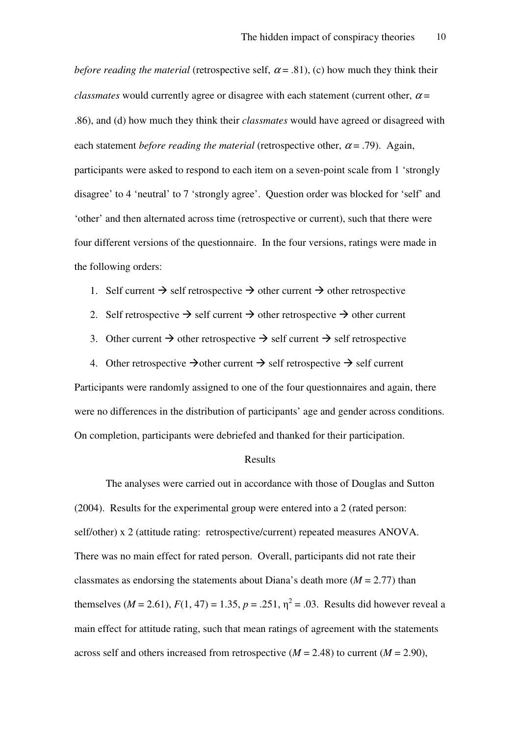*before reading the material* (retrospective self,  $\alpha$  = .81), (c) how much they think their *classmates* would currently agree or disagree with each statement (current other,  $\alpha =$ .86), and (d) how much they think their *classmates* would have agreed or disagreed with each statement *before reading the material* (retrospective other,  $\alpha$  = .79). Again, participants were asked to respond to each item on a seven-point scale from 1 'strongly disagree' to 4 'neutral' to 7 'strongly agree'. Question order was blocked for 'self' and 'other' and then alternated across time (retrospective or current), such that there were four different versions of the questionnaire. In the four versions, ratings were made in the following orders:

- 1. Self current  $\rightarrow$  self retrospective  $\rightarrow$  other current  $\rightarrow$  other retrospective
- 2. Self retrospective  $\rightarrow$  self current  $\rightarrow$  other retrospective  $\rightarrow$  other current
- 3. Other current  $\rightarrow$  other retrospective  $\rightarrow$  self current  $\rightarrow$  self retrospective
- 4. Other retrospective  $\rightarrow$  other current  $\rightarrow$  self retrospective  $\rightarrow$  self current

Participants were randomly assigned to one of the four questionnaires and again, there were no differences in the distribution of participants' age and gender across conditions. On completion, participants were debriefed and thanked for their participation.

#### Results

 The analyses were carried out in accordance with those of Douglas and Sutton (2004). Results for the experimental group were entered into a 2 (rated person: self/other) x 2 (attitude rating: retrospective/current) repeated measures ANOVA. There was no main effect for rated person. Overall, participants did not rate their classmates as endorsing the statements about Diana's death more ( $M = 2.77$ ) than themselves ( $M = 2.61$ ),  $F(1, 47) = 1.35$ ,  $p = .251$ ,  $\eta^2 = .03$ . Results did however reveal a main effect for attitude rating, such that mean ratings of agreement with the statements across self and others increased from retrospective  $(M = 2.48)$  to current  $(M = 2.90)$ ,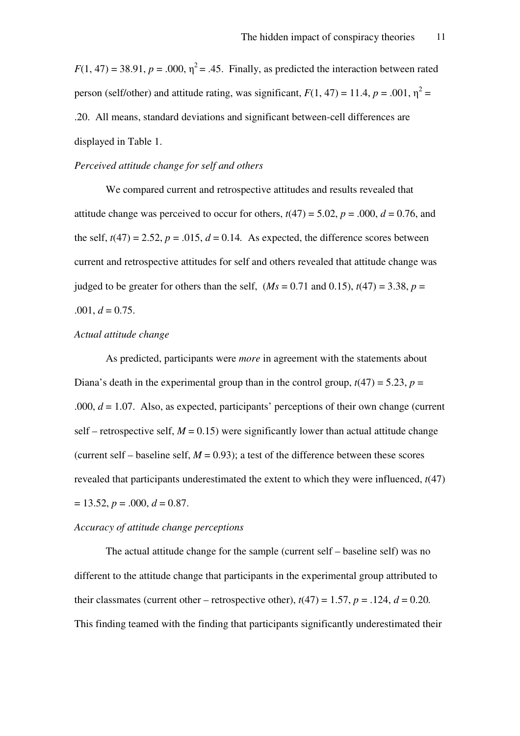$F(1, 47) = 38.91$ ,  $p = .000$ ,  $\eta^2 = .45$ . Finally, as predicted the interaction between rated person (self/other) and attitude rating, was significant,  $F(1, 47) = 11.4$ ,  $p = .001$ ,  $\eta^2 =$ .20. All means, standard deviations and significant between-cell differences are displayed in Table 1.

#### *Perceived attitude change for self and others*

We compared current and retrospective attitudes and results revealed that attitude change was perceived to occur for others,  $t(47) = 5.02$ ,  $p = .000$ ,  $d = 0.76$ , and the self,  $t(47) = 2.52$ ,  $p = .015$ ,  $d = 0.14$ . As expected, the difference scores between current and retrospective attitudes for self and others revealed that attitude change was judged to be greater for others than the self,  $(Ms = 0.71$  and 0.15),  $t(47) = 3.38$ ,  $p =$  $.001, d = 0.75.$ 

#### *Actual attitude change*

As predicted, participants were *more* in agreement with the statements about Diana's death in the experimental group than in the control group,  $t(47) = 5.23$ ,  $p =$ .000,  $d = 1.07$ . Also, as expected, participants' perceptions of their own change (current self – retrospective self,  $M = 0.15$ ) were significantly lower than actual attitude change (current self – baseline self,  $M = 0.93$ ); a test of the difference between these scores revealed that participants underestimated the extent to which they were influenced, *t*(47)  $= 13.52, p = .000, d = 0.87.$ 

#### *Accuracy of attitude change perceptions*

The actual attitude change for the sample (current self – baseline self) was no different to the attitude change that participants in the experimental group attributed to their classmates (current other – retrospective other),  $t(47) = 1.57$ ,  $p = .124$ ,  $d = 0.20$ . This finding teamed with the finding that participants significantly underestimated their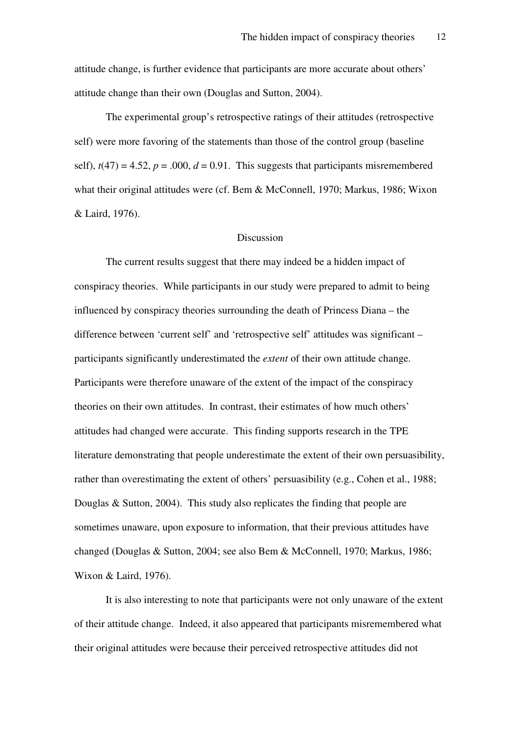attitude change, is further evidence that participants are more accurate about others' attitude change than their own (Douglas and Sutton, 2004).

 The experimental group's retrospective ratings of their attitudes (retrospective self) were more favoring of the statements than those of the control group (baseline self),  $t(47) = 4.52$ ,  $p = .000$ ,  $d = 0.91$ . This suggests that participants misremembered what their original attitudes were (cf. Bem & McConnell, 1970; Markus, 1986; Wixon & Laird, 1976).

#### Discussion

The current results suggest that there may indeed be a hidden impact of conspiracy theories. While participants in our study were prepared to admit to being influenced by conspiracy theories surrounding the death of Princess Diana – the difference between 'current self' and 'retrospective self' attitudes was significant – participants significantly underestimated the *extent* of their own attitude change. Participants were therefore unaware of the extent of the impact of the conspiracy theories on their own attitudes. In contrast, their estimates of how much others' attitudes had changed were accurate. This finding supports research in the TPE literature demonstrating that people underestimate the extent of their own persuasibility, rather than overestimating the extent of others' persuasibility (e.g., Cohen et al., 1988; Douglas & Sutton, 2004). This study also replicates the finding that people are sometimes unaware, upon exposure to information, that their previous attitudes have changed (Douglas & Sutton, 2004; see also Bem & McConnell, 1970; Markus, 1986; Wixon & Laird, 1976).

It is also interesting to note that participants were not only unaware of the extent of their attitude change. Indeed, it also appeared that participants misremembered what their original attitudes were because their perceived retrospective attitudes did not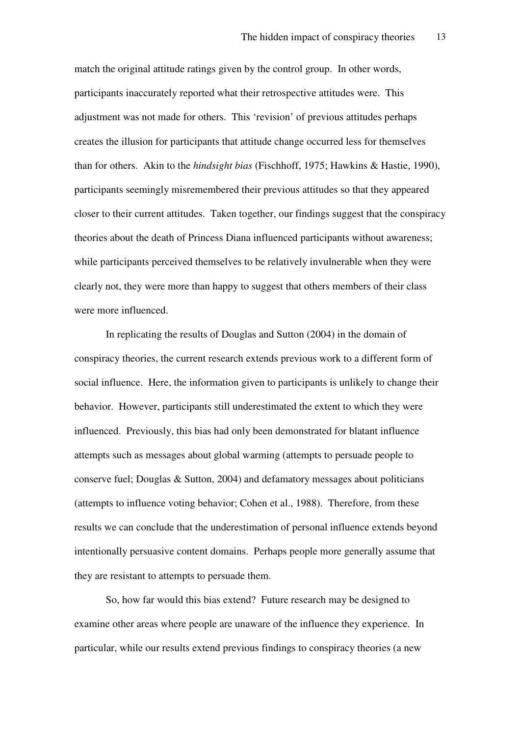match the original attitude ratings given by the control group. In other words, participants inaccurately reported what their retrospective attitudes were. This adjustment was not made for others. This 'revision' of previous attitudes perhaps creates the illusion for participants that attitude change occurred less for themselves than for others. Akin to the *hindsight bias* (Fischhoff, 1975; Hawkins & Hastie, 1990), participants seemingly misremembered their previous attitudes so that they appeared closer to their current attitudes. Taken together, our findings suggest that the conspiracy theories about the death of Princess Diana influenced participants without awareness; while participants perceived themselves to be relatively invulnerable when they were clearly not, they were more than happy to suggest that others members of their class were more influenced.

In replicating the results of Douglas and Sutton (2004) in the domain of conspiracy theories, the current research extends previous work to a different form of social influence. Here, the information given to participants is unlikely to change their behavior. However, participants still underestimated the extent to which they were influenced. Previously, this bias had only been demonstrated for blatant influence attempts such as messages about global warming (attempts to persuade people to conserve fuel; Douglas & Sutton, 2004) and defamatory messages about politicians (attempts to influence voting behavior; Cohen et al., 1988). Therefore, from these results we can conclude that the underestimation of personal influence extends beyond intentionally persuasive content domains. Perhaps people more generally assume that they are resistant to attempts to persuade them.

So, how far would this bias extend? Future research may be designed to examine other areas where people are unaware of the influence they experience. In particular, while our results extend previous findings to conspiracy theories (a new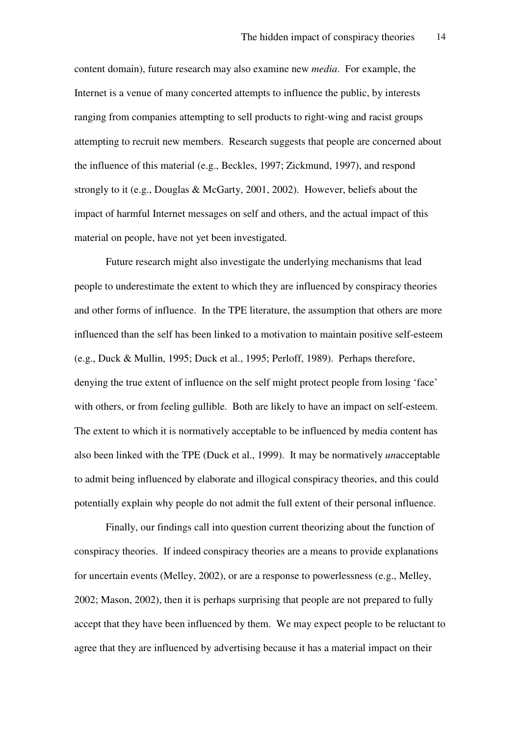content domain), future research may also examine new *media*. For example, the Internet is a venue of many concerted attempts to influence the public, by interests ranging from companies attempting to sell products to right-wing and racist groups attempting to recruit new members. Research suggests that people are concerned about the influence of this material (e.g., Beckles, 1997; Zickmund, 1997), and respond strongly to it (e.g., Douglas & McGarty, 2001, 2002). However, beliefs about the impact of harmful Internet messages on self and others, and the actual impact of this material on people, have not yet been investigated.

Future research might also investigate the underlying mechanisms that lead people to underestimate the extent to which they are influenced by conspiracy theories and other forms of influence. In the TPE literature, the assumption that others are more influenced than the self has been linked to a motivation to maintain positive self-esteem (e.g., Duck & Mullin, 1995; Duck et al., 1995; Perloff, 1989). Perhaps therefore, denying the true extent of influence on the self might protect people from losing 'face' with others, or from feeling gullible. Both are likely to have an impact on self-esteem. The extent to which it is normatively acceptable to be influenced by media content has also been linked with the TPE (Duck et al., 1999). It may be normatively *un*acceptable to admit being influenced by elaborate and illogical conspiracy theories, and this could potentially explain why people do not admit the full extent of their personal influence.

Finally, our findings call into question current theorizing about the function of conspiracy theories. If indeed conspiracy theories are a means to provide explanations for uncertain events (Melley, 2002), or are a response to powerlessness (e.g., Melley, 2002; Mason, 2002), then it is perhaps surprising that people are not prepared to fully accept that they have been influenced by them. We may expect people to be reluctant to agree that they are influenced by advertising because it has a material impact on their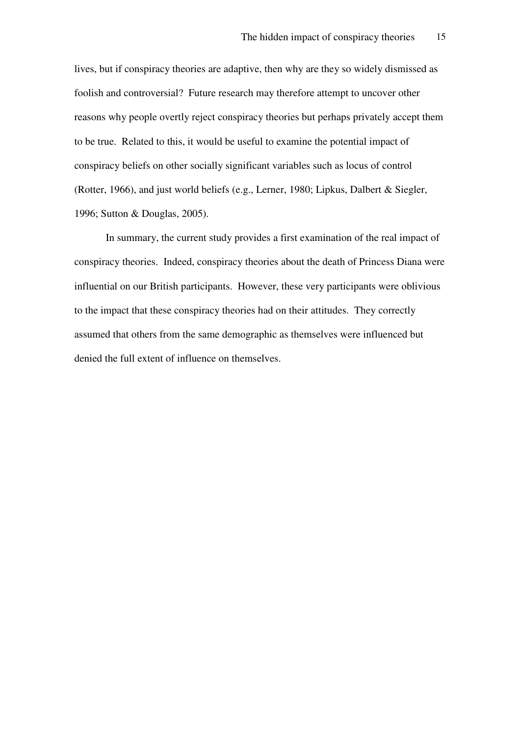lives, but if conspiracy theories are adaptive, then why are they so widely dismissed as foolish and controversial? Future research may therefore attempt to uncover other reasons why people overtly reject conspiracy theories but perhaps privately accept them to be true. Related to this, it would be useful to examine the potential impact of conspiracy beliefs on other socially significant variables such as locus of control (Rotter, 1966), and just world beliefs (e.g., Lerner, 1980; Lipkus, Dalbert & Siegler, 1996; Sutton & Douglas, 2005).

In summary, the current study provides a first examination of the real impact of conspiracy theories. Indeed, conspiracy theories about the death of Princess Diana were influential on our British participants. However, these very participants were oblivious to the impact that these conspiracy theories had on their attitudes. They correctly assumed that others from the same demographic as themselves were influenced but denied the full extent of influence on themselves.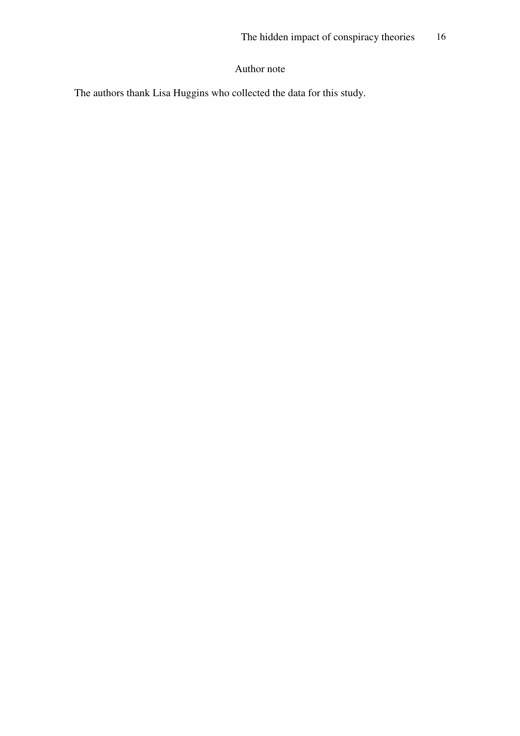#### Author note

The authors thank Lisa Huggins who collected the data for this study.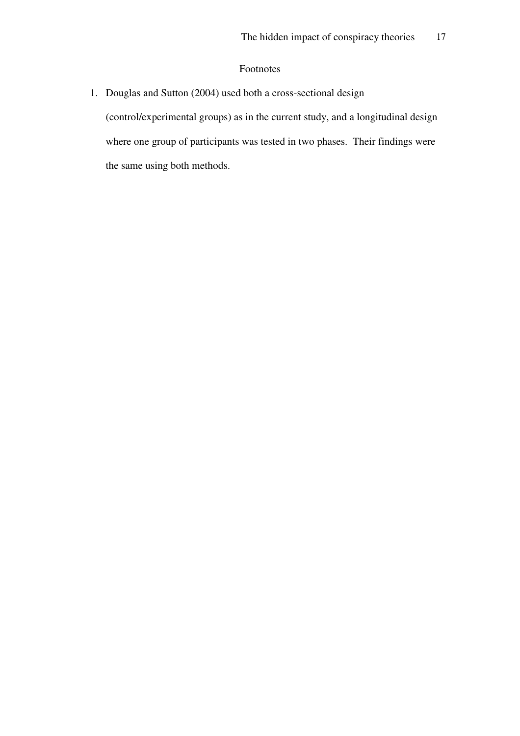#### Footnotes

1. Douglas and Sutton (2004) used both a cross-sectional design

(control/experimental groups) as in the current study, and a longitudinal design where one group of participants was tested in two phases. Their findings were the same using both methods.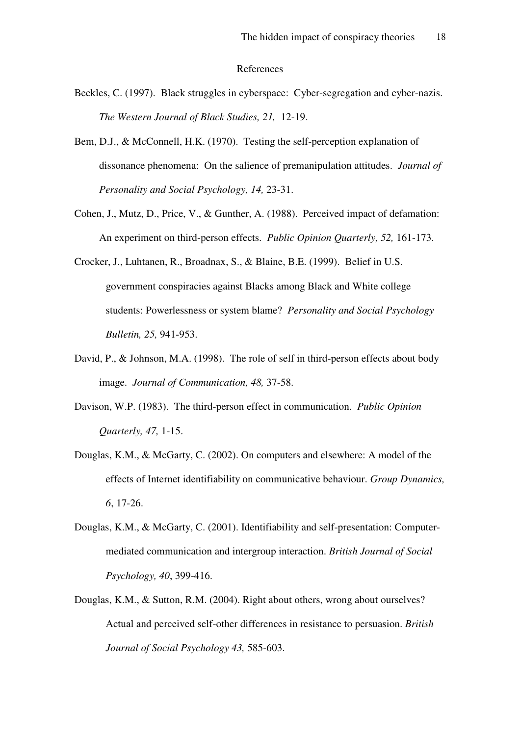#### References

- Beckles, C. (1997). Black struggles in cyberspace: Cyber-segregation and cyber-nazis. *The Western Journal of Black Studies, 21,* 12-19.
- Bem, D.J., & McConnell, H.K. (1970). Testing the self-perception explanation of dissonance phenomena: On the salience of premanipulation attitudes. *Journal of Personality and Social Psychology, 14,* 23-31.
- Cohen, J., Mutz, D., Price, V., & Gunther, A. (1988). Perceived impact of defamation: An experiment on third-person effects. *Public Opinion Quarterly, 52,* 161-173.
- Crocker, J., Luhtanen, R., Broadnax, S., & Blaine, B.E. (1999). Belief in U.S. government conspiracies against Blacks among Black and White college students: Powerlessness or system blame? *Personality and Social Psychology Bulletin, 25,* 941-953.
- David, P., & Johnson, M.A. (1998). The role of self in third-person effects about body image. *Journal of Communication, 48,* 37-58.
- Davison, W.P. (1983). The third-person effect in communication. *Public Opinion Quarterly, 47,* 1-15.
- Douglas, K.M., & McGarty, C. (2002). On computers and elsewhere: A model of the effects of Internet identifiability on communicative behaviour. *Group Dynamics, 6*, 17-26.
- Douglas, K.M., & McGarty, C. (2001). Identifiability and self-presentation: Computermediated communication and intergroup interaction. *British Journal of Social Psychology, 40*, 399-416.
- Douglas, K.M., & Sutton, R.M. (2004). Right about others, wrong about ourselves? Actual and perceived self-other differences in resistance to persuasion. *British Journal of Social Psychology 43,* 585-603.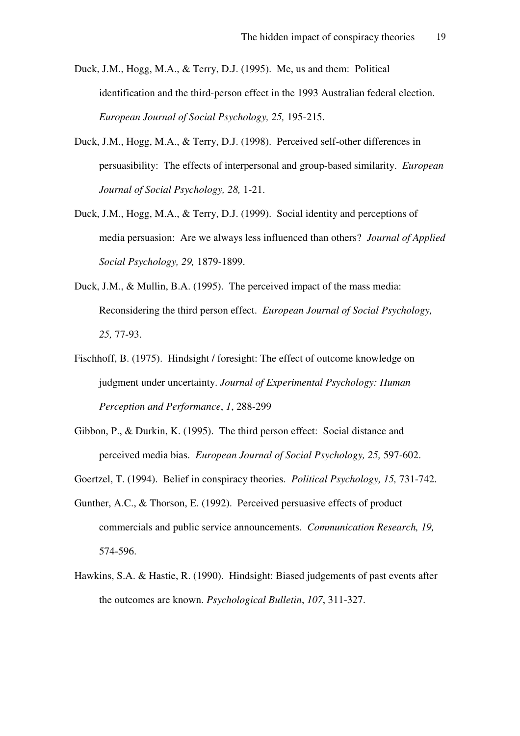- Duck, J.M., Hogg, M.A., & Terry, D.J. (1995). Me, us and them: Political identification and the third-person effect in the 1993 Australian federal election. *European Journal of Social Psychology, 25,* 195-215.
- Duck, J.M., Hogg, M.A., & Terry, D.J. (1998). Perceived self-other differences in persuasibility: The effects of interpersonal and group-based similarity. *European Journal of Social Psychology, 28,* 1-21.
- Duck, J.M., Hogg, M.A., & Terry, D.J. (1999). Social identity and perceptions of media persuasion: Are we always less influenced than others? *Journal of Applied Social Psychology, 29,* 1879-1899.
- Duck, J.M., & Mullin, B.A. (1995). The perceived impact of the mass media: Reconsidering the third person effect. *European Journal of Social Psychology, 25,* 77-93.
- Fischhoff, B. (1975). Hindsight / foresight: The effect of outcome knowledge on judgment under uncertainty. *Journal of Experimental Psychology: Human Perception and Performance*, *1*, 288-299
- Gibbon, P., & Durkin, K. (1995). The third person effect: Social distance and perceived media bias. *European Journal of Social Psychology, 25,* 597-602.
- Goertzel, T. (1994). Belief in conspiracy theories. *Political Psychology, 15,* 731-742.
- Gunther, A.C., & Thorson, E. (1992). Perceived persuasive effects of product commercials and public service announcements. *Communication Research, 19,*  574-596.
- Hawkins, S.A. & Hastie, R. (1990). Hindsight: Biased judgements of past events after the outcomes are known. *Psychological Bulletin*, *107*, 311-327.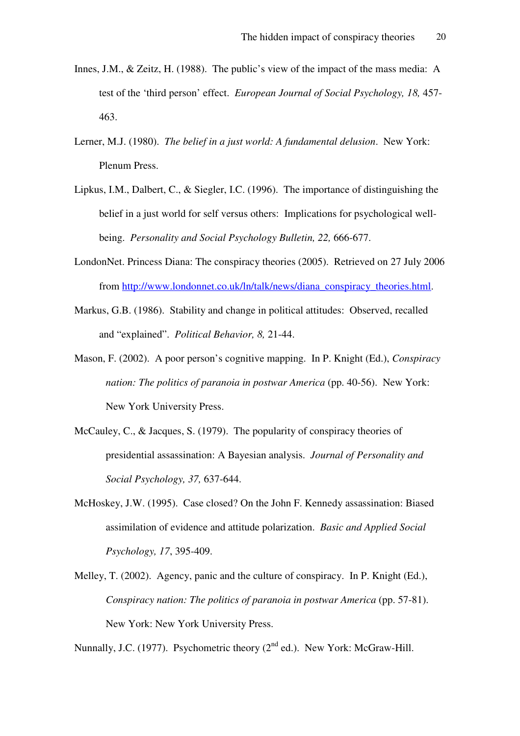- Innes, J.M., & Zeitz, H. (1988). The public's view of the impact of the mass media: A test of the 'third person' effect. *European Journal of Social Psychology, 18,* 457- 463.
- Lerner, M.J. (1980). *The belief in a just world: A fundamental delusion*. New York: Plenum Press.
- Lipkus, I.M., Dalbert, C., & Siegler, I.C. (1996). The importance of distinguishing the belief in a just world for self versus others: Implications for psychological wellbeing. *Personality and Social Psychology Bulletin, 22,* 666-677.
- LondonNet. Princess Diana: The conspiracy theories (2005). Retrieved on 27 July 2006 from http://www.londonnet.co.uk/ln/talk/news/diana\_conspiracy\_theories.html.
- Markus, G.B. (1986). Stability and change in political attitudes: Observed, recalled and "explained". *Political Behavior, 8,* 21-44.
- Mason, F. (2002). A poor person's cognitive mapping. In P. Knight (Ed.), *Conspiracy nation: The politics of paranoia in postwar America* (pp. 40-56). New York: New York University Press.
- McCauley, C., & Jacques, S. (1979). The popularity of conspiracy theories of presidential assassination: A Bayesian analysis. *Journal of Personality and Social Psychology, 37,* 637-644.
- McHoskey, J.W. (1995). Case closed? On the John F. Kennedy assassination: Biased assimilation of evidence and attitude polarization. *Basic and Applied Social Psychology, 17*, 395-409.
- Melley, T. (2002). Agency, panic and the culture of conspiracy. In P. Knight (Ed.), *Conspiracy nation: The politics of paranoia in postwar America* (pp. 57-81). New York: New York University Press.

Nunnally, J.C. (1977). Psychometric theory  $(2<sup>nd</sup>$  ed.). New York: McGraw-Hill.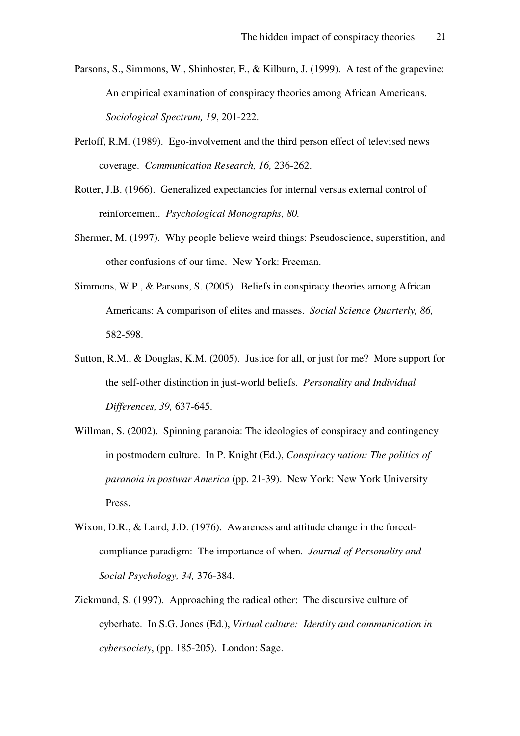- Parsons, S., Simmons, W., Shinhoster, F., & Kilburn, J. (1999). A test of the grapevine: An empirical examination of conspiracy theories among African Americans. *Sociological Spectrum, 19*, 201-222.
- Perloff, R.M. (1989). Ego-involvement and the third person effect of televised news coverage. *Communication Research, 16,* 236-262.
- Rotter, J.B. (1966). Generalized expectancies for internal versus external control of reinforcement. *Psychological Monographs, 80.*
- Shermer, M. (1997). Why people believe weird things: Pseudoscience, superstition, and other confusions of our time. New York: Freeman.
- Simmons, W.P., & Parsons, S. (2005). Beliefs in conspiracy theories among African Americans: A comparison of elites and masses. *Social Science Quarterly, 86,*  582-598.
- Sutton, R.M., & Douglas, K.M. (2005). Justice for all, or just for me? More support for the self-other distinction in just-world beliefs. *Personality and Individual Differences, 39,* 637-645.
- Willman, S. (2002). Spinning paranoia: The ideologies of conspiracy and contingency in postmodern culture. In P. Knight (Ed.), *Conspiracy nation: The politics of paranoia in postwar America* (pp. 21-39). New York: New York University Press.
- Wixon, D.R., & Laird, J.D. (1976). Awareness and attitude change in the forcedcompliance paradigm: The importance of when. *Journal of Personality and Social Psychology, 34,* 376-384.
- Zickmund, S. (1997). Approaching the radical other: The discursive culture of cyberhate. In S.G. Jones (Ed.), *Virtual culture: Identity and communication in cybersociety*, (pp. 185-205). London: Sage.